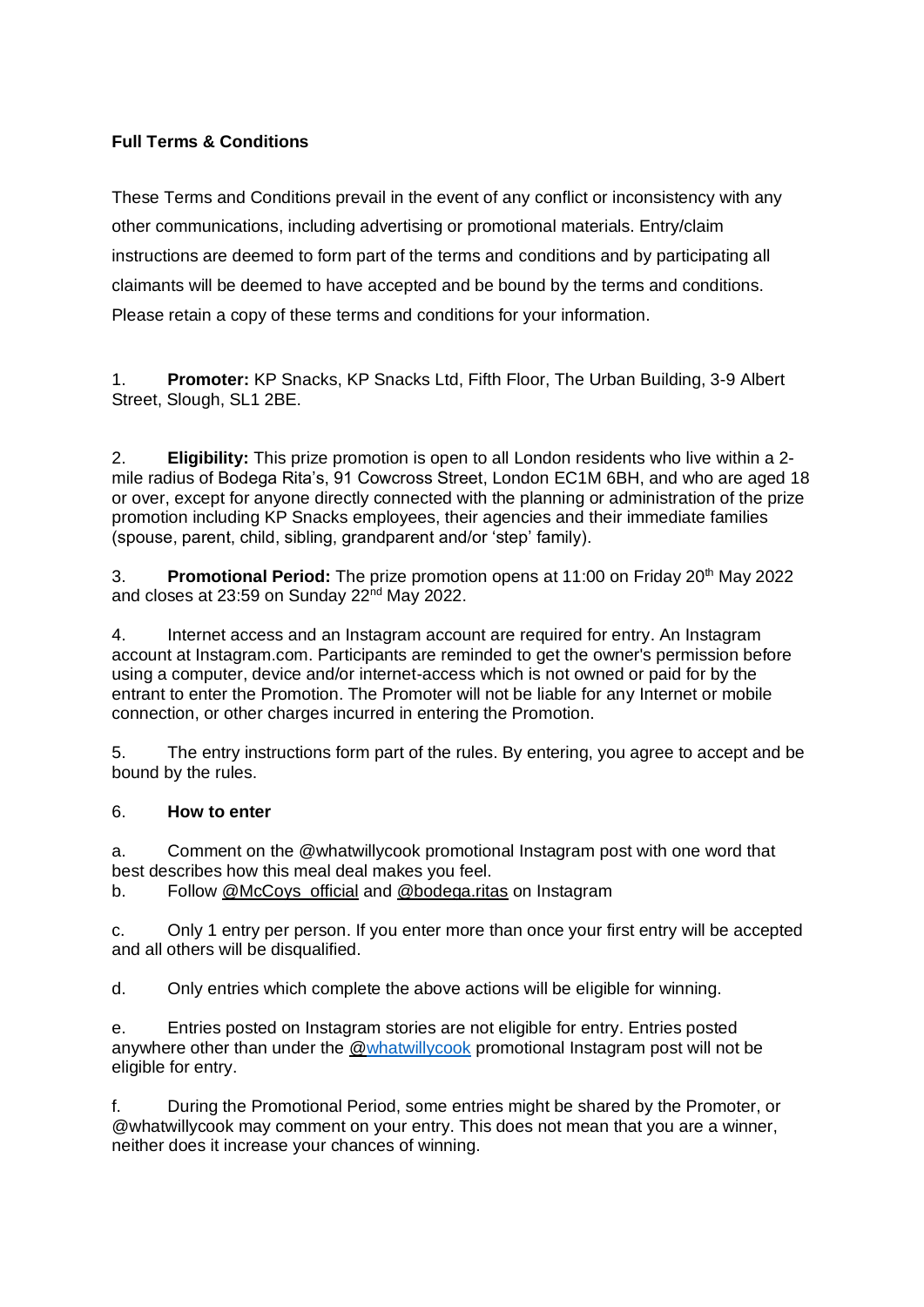# **Full Terms & Conditions**

These Terms and Conditions prevail in the event of any conflict or inconsistency with any other communications, including advertising or promotional materials. Entry/claim instructions are deemed to form part of the terms and conditions and by participating all claimants will be deemed to have accepted and be bound by the terms and conditions. Please retain a copy of these terms and conditions for your information.

1. **Promoter:** KP Snacks, KP Snacks Ltd, Fifth Floor, The Urban Building, 3-9 Albert Street, Slough, SL1 2BE.

2. **Eligibility:** This prize promotion is open to all London residents who live within a 2 mile radius of Bodega Rita's, 91 Cowcross Street, London EC1M 6BH, and who are aged 18 or over, except for anyone directly connected with the planning or administration of the prize promotion including KP Snacks employees, their agencies and their immediate families (spouse, parent, child, sibling, grandparent and/or 'step' family).

3. **Promotional Period:** The prize promotion opens at 11:00 on Friday 20<sup>th</sup> May 2022 and closes at 23:59 on Sunday 22<sup>nd</sup> May 2022.

4. Internet access and an Instagram account are required for entry. An Instagram account at Instagram.com. Participants are reminded to get the owner's permission before using a computer, device and/or internet-access which is not owned or paid for by the entrant to enter the Promotion. The Promoter will not be liable for any Internet or mobile connection, or other charges incurred in entering the Promotion.

5. The entry instructions form part of the rules. By entering, you agree to accept and be bound by the rules.

#### 6. **How to enter**

a. Comment on the @whatwillycook promotional Instagram post with one word that best describes how this meal deal makes you feel.

b. Follow [@McCoys\\_official](https://www.instagram.com/mccoys_official/?hl=en) and [@bodega.ritas](https://www.instagram.com/bodega.ritas/?hl=en) on Instagram

c. Only 1 entry per person. If you enter more than once your first entry will be accepted and all others will be disqualified.

d. Only entries which complete the above actions will be eligible for winning.

e. Entries posted on Instagram stories are not eligible for entry. Entries posted anywhere other than under the [@whatwillycook](http://www.instagram/whatwillcook) promotional Instagram post will not be eligible for entry.

f. During the Promotional Period, some entries might be shared by the Promoter, or @whatwillycook may comment on your entry. This does not mean that you are a winner, neither does it increase your chances of winning.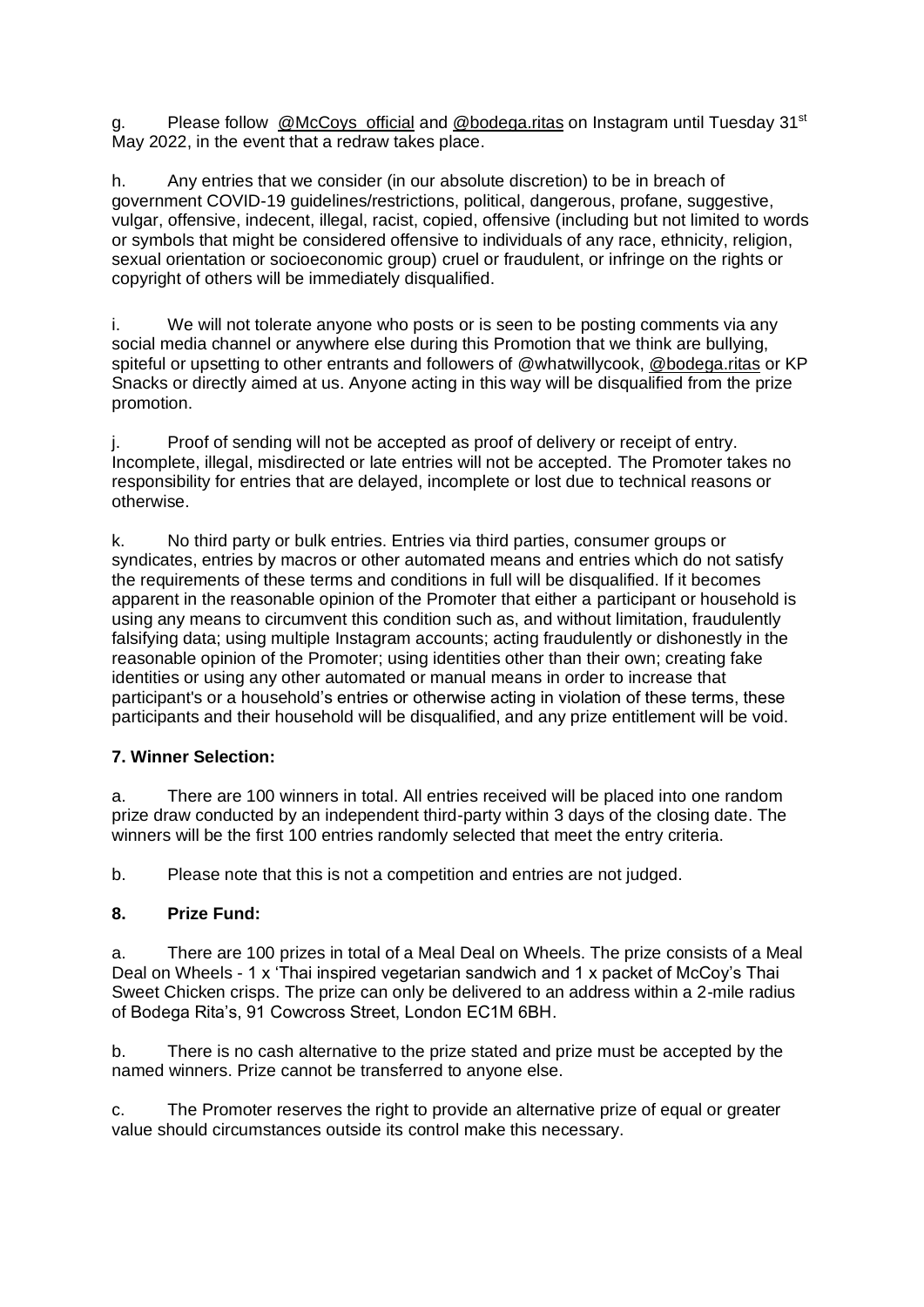g. Please follow [@McCoys\\_official](https://www.instagram.com/mccoys_official/?hl=en) and [@bodega.ritas](https://www.instagram.com/bodega.ritas/?hl=en) on Instagram until Tuesday 31<sup>st</sup> May 2022, in the event that a redraw takes place.

h. Any entries that we consider (in our absolute discretion) to be in breach of government COVID-19 guidelines/restrictions, political, dangerous, profane, suggestive, vulgar, offensive, indecent, illegal, racist, copied, offensive (including but not limited to words or symbols that might be considered offensive to individuals of any race, ethnicity, religion, sexual orientation or socioeconomic group) cruel or fraudulent, or infringe on the rights or copyright of others will be immediately disqualified.

i. We will not tolerate anyone who posts or is seen to be posting comments via any social media channel or anywhere else during this Promotion that we think are bullying, spiteful or upsetting to other entrants and followers of @whatwillycook, [@bodega.ritas](https://www.instagram.com/bodega.ritas/?hl=en) or KP Snacks or directly aimed at us. Anyone acting in this way will be disqualified from the prize promotion.

j. Proof of sending will not be accepted as proof of delivery or receipt of entry. Incomplete, illegal, misdirected or late entries will not be accepted. The Promoter takes no responsibility for entries that are delayed, incomplete or lost due to technical reasons or otherwise.

k. No third party or bulk entries. Entries via third parties, consumer groups or syndicates, entries by macros or other automated means and entries which do not satisfy the requirements of these terms and conditions in full will be disqualified. If it becomes apparent in the reasonable opinion of the Promoter that either a participant or household is using any means to circumvent this condition such as, and without limitation, fraudulently falsifying data; using multiple Instagram accounts; acting fraudulently or dishonestly in the reasonable opinion of the Promoter; using identities other than their own; creating fake identities or using any other automated or manual means in order to increase that participant's or a household's entries or otherwise acting in violation of these terms, these participants and their household will be disqualified, and any prize entitlement will be void.

#### **7. Winner Selection:**

a. There are 100 winners in total. All entries received will be placed into one random prize draw conducted by an independent third-party within 3 days of the closing date. The winners will be the first 100 entries randomly selected that meet the entry criteria.

b. Please note that this is not a competition and entries are not judged.

#### **8. Prize Fund:**

a. There are 100 prizes in total of a Meal Deal on Wheels. The prize consists of a Meal Deal on Wheels - 1 x 'Thai inspired vegetarian sandwich and 1 x packet of McCoy's Thai Sweet Chicken crisps. The prize can only be delivered to an address within a 2-mile radius of Bodega Rita's, 91 Cowcross Street, London EC1M 6BH.

b. There is no cash alternative to the prize stated and prize must be accepted by the named winners. Prize cannot be transferred to anyone else.

c. The Promoter reserves the right to provide an alternative prize of equal or greater value should circumstances outside its control make this necessary.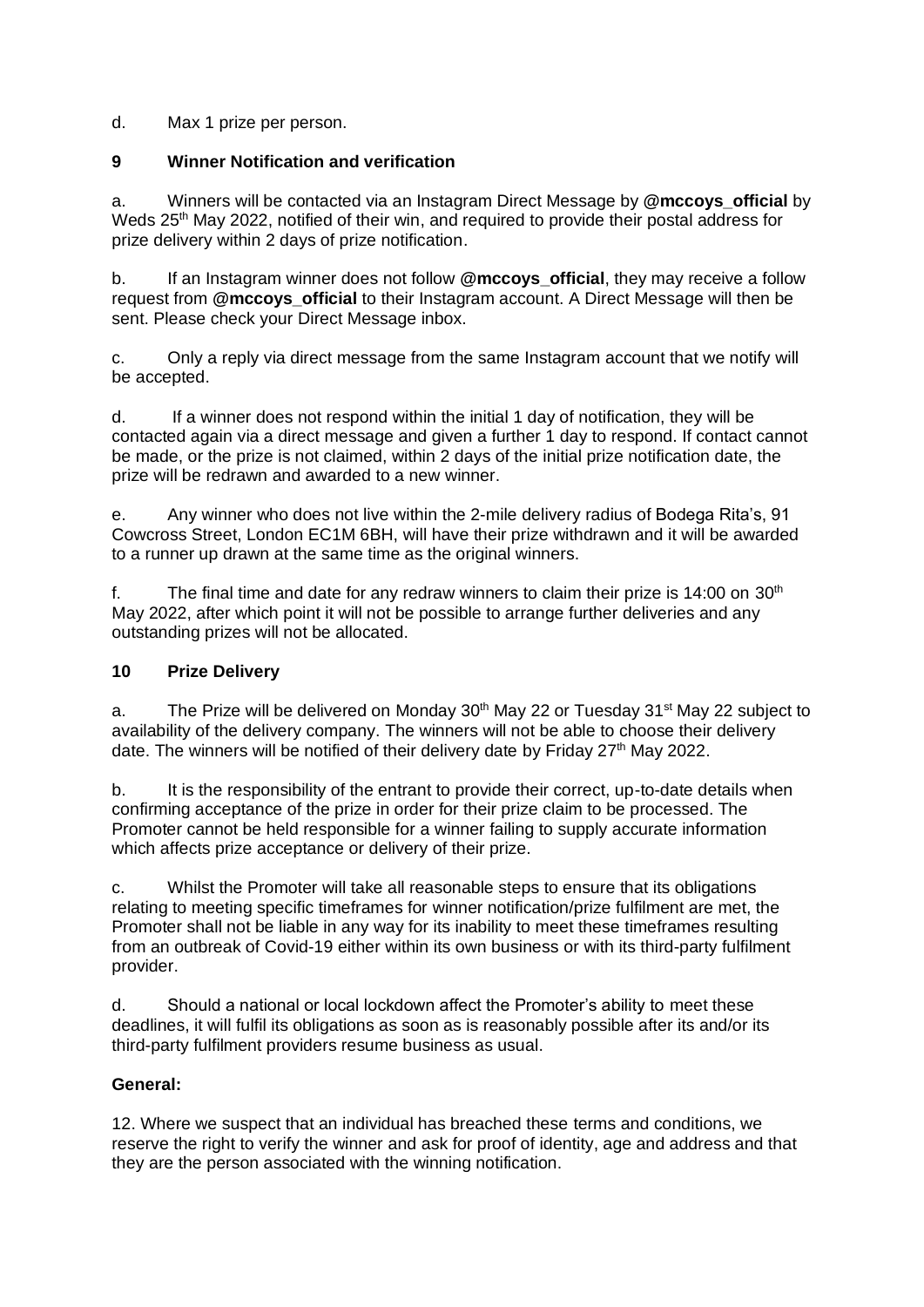d. Max 1 prize per person.

### **9 Winner Notification and verification**

a. Winners will be contacted via an Instagram Direct Message by **@mccoys\_official** by Weds 25<sup>th</sup> May 2022, notified of their win, and required to provide their postal address for prize delivery within 2 days of prize notification.

b. If an Instagram winner does not follow **@mccoys\_official**, they may receive a follow request from **@mccoys\_official** to their Instagram account. A Direct Message will then be sent. Please check your Direct Message inbox.

c. Only a reply via direct message from the same Instagram account that we notify will be accepted.

d. If a winner does not respond within the initial 1 day of notification, they will be contacted again via a direct message and given a further 1 day to respond. If contact cannot be made, or the prize is not claimed, within 2 days of the initial prize notification date, the prize will be redrawn and awarded to a new winner.

e. Any winner who does not live within the 2-mile delivery radius of Bodega Rita's, 91 Cowcross Street, London EC1M 6BH, will have their prize withdrawn and it will be awarded to a runner up drawn at the same time as the original winners.

f. The final time and date for any redraw winners to claim their prize is  $14:00$  on  $30<sup>th</sup>$ May 2022, after which point it will not be possible to arrange further deliveries and any outstanding prizes will not be allocated.

## **10 Prize Delivery**

a. The Prize will be delivered on Monday  $30<sup>th</sup>$  May 22 or Tuesday  $31<sup>st</sup>$  May 22 subject to availability of the delivery company. The winners will not be able to choose their delivery date. The winners will be notified of their delivery date by Friday  $27<sup>th</sup>$  May 2022.

b. It is the responsibility of the entrant to provide their correct, up-to-date details when confirming acceptance of the prize in order for their prize claim to be processed. The Promoter cannot be held responsible for a winner failing to supply accurate information which affects prize acceptance or delivery of their prize.

c. Whilst the Promoter will take all reasonable steps to ensure that its obligations relating to meeting specific timeframes for winner notification/prize fulfilment are met, the Promoter shall not be liable in any way for its inability to meet these timeframes resulting from an outbreak of Covid-19 either within its own business or with its third-party fulfilment provider.

d. Should a national or local lockdown affect the Promoter's ability to meet these deadlines, it will fulfil its obligations as soon as is reasonably possible after its and/or its third-party fulfilment providers resume business as usual.

#### **General:**

12. Where we suspect that an individual has breached these terms and conditions, we reserve the right to verify the winner and ask for proof of identity, age and address and that they are the person associated with the winning notification.